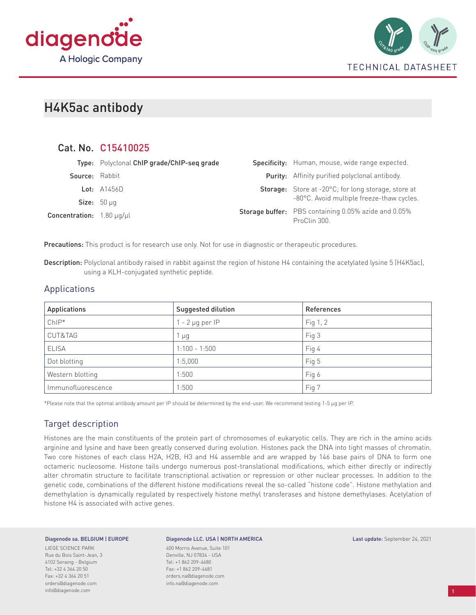



# H4K5ac antibody

Cat. No. C15410025

|                           | Cat. No. C15410025                         |                                                                             |
|---------------------------|--------------------------------------------|-----------------------------------------------------------------------------|
|                           | Type: Polyclonal ChIP grade/ChIP-seq grade | Specificity: Human, mouse, wide range expected.                             |
| Source: Rabbit            |                                            | <b>Purity:</b> Affinity purified polyclonal antibody.                       |
|                           | Lot: $A1456D$                              | <b>Storage:</b> Store at -20°C; for long storage, store at                  |
|                           | Size: $50 \mu q$                           | -80°C. Avoid multiple freeze-thaw cycles.                                   |
| Concentration: 1.80 µg/µl |                                            | <b>Storage buffer:</b> PBS containing 0.05% azide and 0.05%<br>ProClin 300. |

Precautions: This product is for research use only. Not for use in diagnostic or therapeutic procedures.

Description: Polyclonal antibody raised in rabbit against the region of histone H4 containing the acetylated lysine 5 (H4K5ac), using a KLH-conjugated synthetic peptide.

# Applications

| <b>Applications</b> | Suggested dilution   | References |
|---------------------|----------------------|------------|
| $ChIP*$             | $1 - 2 \mu$ g per IP | Fig 1, 2   |
| CUT&TAG             | $\mu$ g              | Fig 3      |
| <b>ELISA</b>        | $1:100 - 1:500$      | Fig 4      |
| Dot blotting        | 1:5,000              | Fig 5      |
| Western blotting    | 1:500                | Fig 6      |
| Immunofluorescence  | 1:500                | Fig 7      |

\*Please note that the optimal antibody amount per IP should be determined by the end-user. We recommend testing 1-5 µg per IP.

# Target description

Histones are the main constituents of the protein part of chromosomes of eukaryotic cells. They are rich in the amino acids arginine and lysine and have been greatly conserved during evolution. Histones pack the DNA into tight masses of chromatin. Two core histones of each class H2A, H2B, H3 and H4 assemble and are wrapped by 146 base pairs of DNA to form one octameric nucleosome. Histone tails undergo numerous post-translational modifications, which either directly or indirectly alter chromatin structure to facilitate transcriptional activation or repression or other nuclear processes. In addition to the genetic code, combinations of the different histone modifications reveal the so-called "histone code". Histone methylation and demethylation is dynamically regulated by respectively histone methyl transferases and histone demethylases. Acetylation of histone H4 is associated with active genes.

#### Diagenode sa. BELGIUM | EUROPE

LIEGE SCIENCE PARK Rue du Bois Saint-Jean, 3 4102 Seraing - Belgium Tel: +32 4 364 20 50 Fax: +32 4 364 20 51 orders@diagenode.com info@diagenode.com

#### Diagenode LLC. USA | NORTH AMERICA

400 Morris Avenue, Suite 101 Denville, NJ 07834 - USA Tel: +1 862 209-4680 Fax: +1 862 209-4681 orders.na@diagenode.com info.na@diagenode.com

#### Last update: September 24, 2021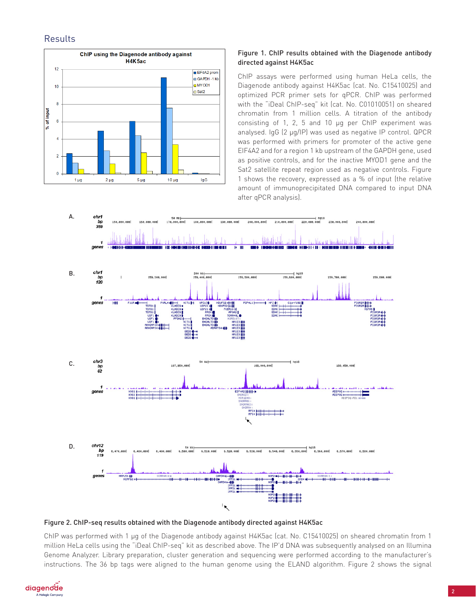# **Results**



## Figure 1. ChIP results obtained with the Diagenode antibody directed against H4K5ac

ChIP assays were performed using human HeLa cells, the Diagenode antibody against H4K5ac (cat. No. C15410025) and optimized PCR primer sets for qPCR. ChIP was performed with the "iDeal ChIP-seq" kit (cat. No. C01010051) on sheared chromatin from 1 million cells. A titration of the antibody consisting of 1, 2, 5 and 10 µg per ChIP experiment was analysed. IgG (2 µg/IP) was used as negative IP control. QPCR was performed with primers for promoter of the active gene EIF4A2 and for a region 1 kb upstream of the GAPDH gene, used as positive controls, and for the inactive MYOD1 gene and the Sat2 satellite repeat region used as negative controls. Figure 1 shows the recovery, expressed as a % of input (the relative amount of immunoprecipitated DNA compared to input DNA after qPCR analysis).



Figure 2. ChIP-seq results obtained with the Diagenode antibody directed against H4K5ac

ChIP was performed with 1 µg of the Diagenode antibody against H4K5ac (cat. No. C15410025) on sheared chromatin from 1 million HeLa cells using the "iDeal ChIP-seq" kit as described above. The IP'd DNA was subsequently analysed on an Illumina Genome Analyzer. Library preparation, cluster generation and sequencing were performed according to the manufacturer's instructions. The 36 bp tags were aligned to the human genome using the ELAND algorithm. Figure 2 shows the signal

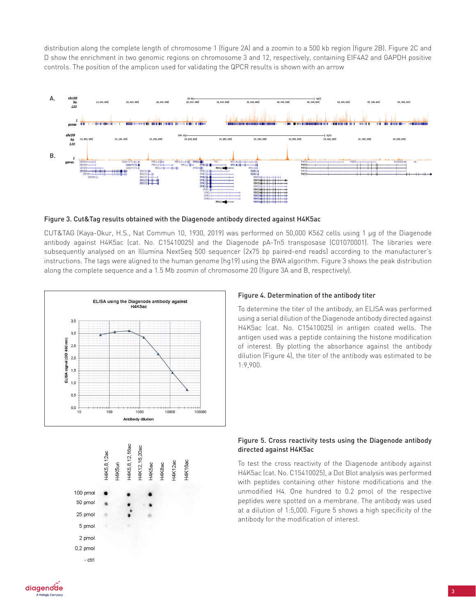distribution along the complete length of chromosome 1 (figure 2A) and a zoomin to a 500 kb region (figure 2B). Figure 2C and D show the enrichment in two genomic regions on chromosome 3 and 12, respectively, containing EIF4A2 and GAPDH positive controls. The position of the amplicon used for validating the QPCR results is shown with an arrow





CUT&TAG (Kaya-Okur, H.S., Nat Commun 10, 1930, 2019) was performed on 50,000 K562 cells using 1 µg of the Diagenode antibody against H4K5ac (cat. No. C15410025) and the Diagenode pA-Tn5 transposase (C01070001). The libraries were subsequently analysed on an Illumina NextSeq 500 sequencer (2x75 bp paired-end reads) according to the manufacturer's instructions. The tags were aligned to the human genome (hg19) using the BWA algorithm. Figure 3 shows the peak distribution along the complete sequence and a 1.5 Mb zoomin of chromosome 20 (figure 3A and B, respectively).



### Figure 4. Determination of the antibody titer

To determine the titer of the antibody, an ELISA was performed using a serial dilution of the Diagenode antibody directed against H4K5ac (cat. No. C15410025) in antigen coated wells. The antigen used was a peptide containing the histone modification of interest. By plotting the absorbance against the antibody dilution (Figure 4), the titer of the antibody was estimated to be 1:9,900.



To test the cross reactivity of the Diagenode antibody against H4K5ac (cat. No. C15410025), a Dot Blot analysis was performed with peptides containing other histone modifications and the unmodified H4. One hundred to 0.2 pmol of the respective peptides were spotted on a membrane. The antibody was used at a dilution of 1:5,000. Figure 5 shows a high specificity of the antibody for the modification of interest.